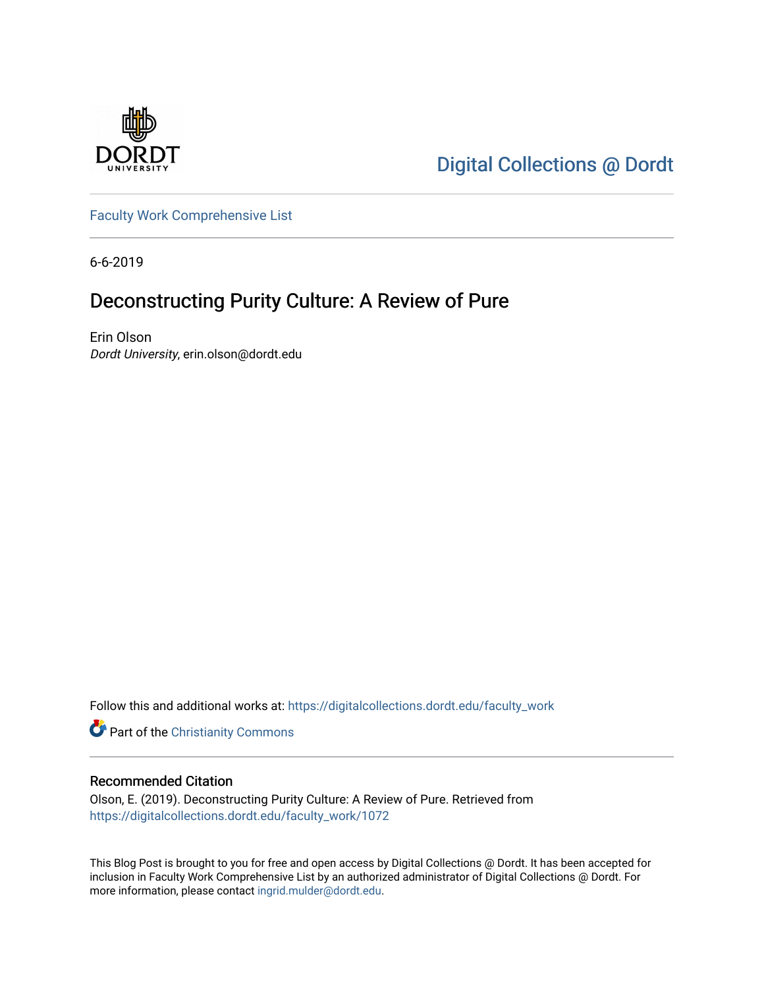

[Digital Collections @ Dordt](https://digitalcollections.dordt.edu/) 

[Faculty Work Comprehensive List](https://digitalcollections.dordt.edu/faculty_work)

6-6-2019

## Deconstructing Purity Culture: A Review of Pure

Erin Olson Dordt University, erin.olson@dordt.edu

Follow this and additional works at: [https://digitalcollections.dordt.edu/faculty\\_work](https://digitalcollections.dordt.edu/faculty_work?utm_source=digitalcollections.dordt.edu%2Ffaculty_work%2F1072&utm_medium=PDF&utm_campaign=PDFCoverPages) 

**Part of the Christianity Commons** 

#### Recommended Citation

Olson, E. (2019). Deconstructing Purity Culture: A Review of Pure. Retrieved from [https://digitalcollections.dordt.edu/faculty\\_work/1072](https://digitalcollections.dordt.edu/faculty_work/1072?utm_source=digitalcollections.dordt.edu%2Ffaculty_work%2F1072&utm_medium=PDF&utm_campaign=PDFCoverPages)

This Blog Post is brought to you for free and open access by Digital Collections @ Dordt. It has been accepted for inclusion in Faculty Work Comprehensive List by an authorized administrator of Digital Collections @ Dordt. For more information, please contact [ingrid.mulder@dordt.edu.](mailto:ingrid.mulder@dordt.edu)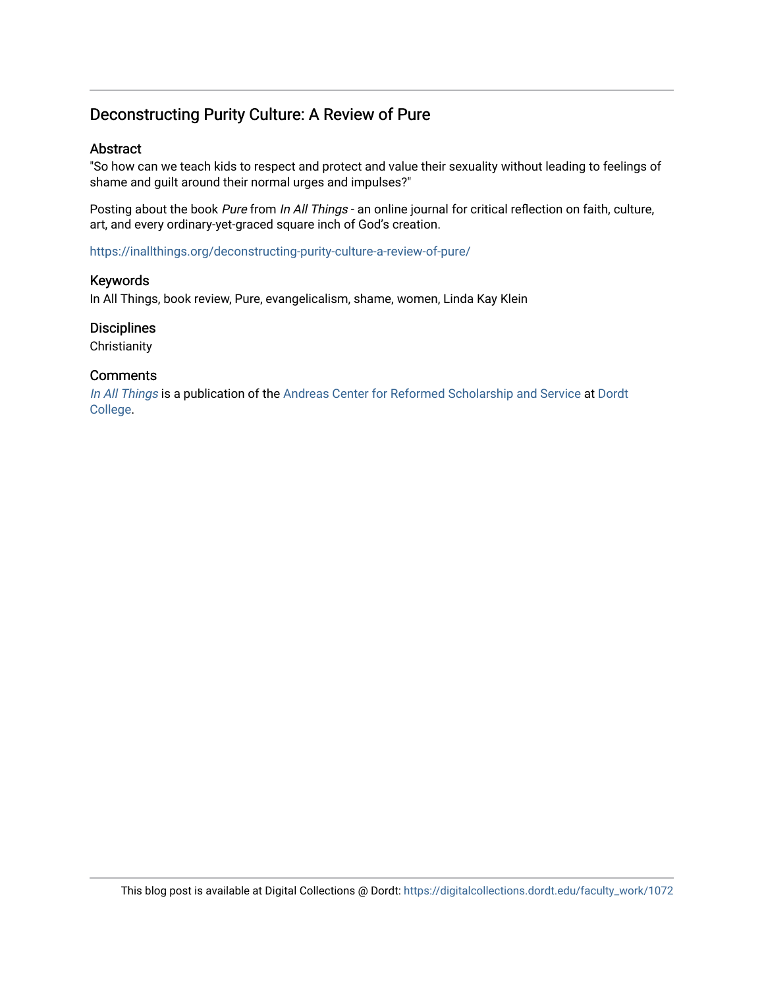### Deconstructing Purity Culture: A Review of Pure

#### Abstract

"So how can we teach kids to respect and protect and value their sexuality without leading to feelings of shame and guilt around their normal urges and impulses?"

Posting about the book Pure from In All Things - an online journal for critical reflection on faith, culture, art, and every ordinary-yet-graced square inch of God's creation.

<https://inallthings.org/deconstructing-purity-culture-a-review-of-pure/>

#### Keywords

In All Things, book review, Pure, evangelicalism, shame, women, Linda Kay Klein

#### **Disciplines**

**Christianity** 

#### **Comments**

[In All Things](http://inallthings.org/) is a publication of the [Andreas Center for Reformed Scholarship and Service](http://www.dordt.edu/services_support/andreas_center/) at Dordt [College](http://www.dordt.edu/).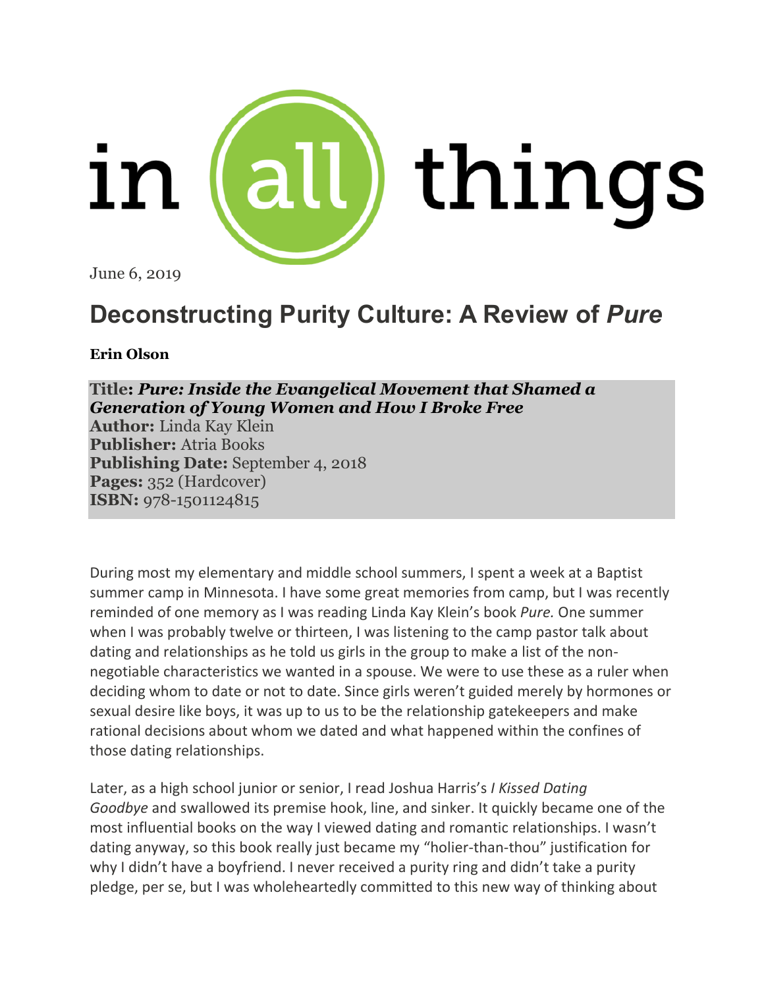

June 6, 2019

# **Deconstructing Purity Culture: A Review of** *Pure*

**Erin [Olson](https://inallthings.org/contributor/erin-olson/)**

**Title:** *Pure: Inside the [Evangelical](https://www.amazon.com/Pure-Inside-Evangelical-Movement-Generation/dp/1501124811) Movement that Shamed a [Generation](https://www.amazon.com/Pure-Inside-Evangelical-Movement-Generation/dp/1501124811) of Young Women and How I Broke Free*

**Author:** Linda Kay Klein **Publisher:** Atria Books **Publishing Date:** September 4, 2018 **Pages:** 352 (Hardcover) **ISBN:** 978-1501124815

During most my elementary and middle school summers, I spent a week at a Baptist summer camp in Minnesota. I have some great memories from camp, but I was recently reminded of one memory as I was reading Linda Kay Klein's book *Pure.* One summer when I was probably twelve or thirteen, I was listening to the camp pastor talk about dating and relationships as he told us girls in the group to make a list of the nonnegotiable characteristics we wanted in a spouse. We were to use these as a ruler when deciding whom to date or not to date. Since girls weren't guided merely by hormones or sexual desire like boys, it was up to us to be the relationship gatekeepers and make rational decisions about whom we dated and what happened within the confines of those dating relationships.

Later, as a high school junior or senior, I read Joshua Harris's *I Kissed Dating Goodbye* and swallowed its premise hook, line, and sinker. It quickly became one of the most influential books on the way I viewed dating and romantic relationships. I wasn't dating anyway, so this book really just became my "holier-than-thou" justification for why I didn't have a boyfriend. I never received a purity ring and didn't take a purity pledge, per se, but I was wholeheartedly committed to this new way of thinking about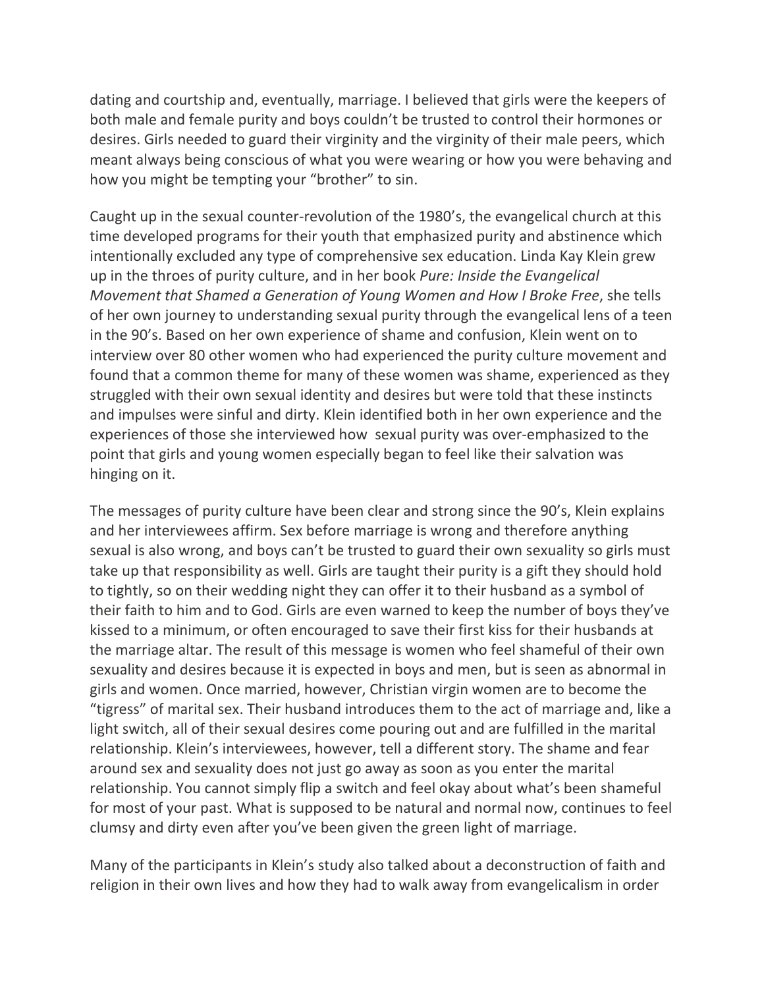dating and courtship and, eventually, marriage. I believed that girls were the keepers of both male and female purity and boys couldn't be trusted to control their hormones or desires. Girls needed to guard their virginity and the virginity of their male peers, which meant always being conscious of what you were wearing or how you were behaving and how you might be tempting your "brother" to sin.

Caught up in the sexual counter-revolution of the 1980's, the evangelical church at this time developed programs for their youth that emphasized purity and abstinence which intentionally excluded any type of comprehensive sex education. Linda Kay Klein grew up in the throes of purity culture, and in her book *Pure: Inside the Evangelical Movement that Shamed a Generation of Young Women and How I Broke Free*, she tells of her own journey to understanding sexual purity through the evangelical lens of a teen in the 90's. Based on her own experience of shame and confusion, Klein went on to interview over 80 other women who had experienced the purity culture movement and found that a common theme for many of these women was shame, experienced as they struggled with their own sexual identity and desires but were told that these instincts and impulses were sinful and dirty. Klein identified both in her own experience and the experiences of those she interviewed how sexual purity was over-emphasized to the point that girls and young women especially began to feel like their salvation was hinging on it.

The messages of purity culture have been clear and strong since the 90's, Klein explains and her interviewees affirm. Sex before marriage is wrong and therefore anything sexual is also wrong, and boys can't be trusted to guard their own sexuality so girls must take up that responsibility as well. Girls are taught their purity is a gift they should hold to tightly, so on their wedding night they can offer it to their husband as a symbol of their faith to him and to God. Girls are even warned to keep the number of boys they've kissed to a minimum, or often encouraged to save their first kiss for their husbands at the marriage altar. The result of this message is women who feel shameful of their own sexuality and desires because it is expected in boys and men, but is seen as abnormal in girls and women. Once married, however, Christian virgin women are to become the "tigress" of marital sex. Their husband introduces them to the act of marriage and, like a light switch, all of their sexual desires come pouring out and are fulfilled in the marital relationship. Klein's interviewees, however, tell a different story. The shame and fear around sex and sexuality does not just go away as soon as you enter the marital relationship. You cannot simply flip a switch and feel okay about what's been shameful for most of your past. What is supposed to be natural and normal now, continues to feel clumsy and dirty even after you've been given the green light of marriage.

Many of the participants in Klein's study also talked about a deconstruction of faith and religion in their own lives and how they had to walk away from evangelicalism in order